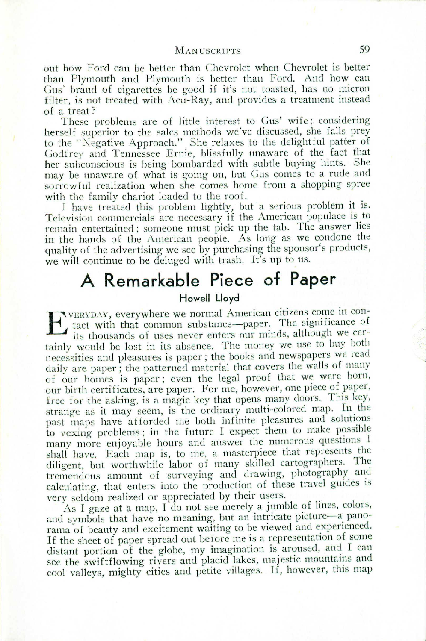## MAN USCRIPTS 59

out how Ford can be better than Chevrolet when Chevrolet is better than Plymouth and Plymouth is better than Ford. And how can Gus' brand of cigarettes be good if it's not toasted, has no micron filter, is not treated with Acu-Ray, and provides a treatment instead of a treat?

These problems are of little interest to Gus' wife; considering herself superior to the sales methods we've discussed, she falls prey to the "Negative Approach." She relaxes to the delightful patter of Godfrey and Tennessee Ernie, blissfully unaware of the fact that her subconscious is being bombarded with subtle buying hints. She may be unaware of what is going on, but Gus comes to a rude and sorrowful realization when she comes home from a shopping spree with the family chariot loaded to the roof.

I have treated this problem lightly, but a serious problem it is. Television commercials are necessary if the American populace is to remain entertained; someone must pick up the tab. The answer lies in the hands of the American people. As long as we condone the quality of the advertising we see by purchasing the sponsor's products, we will continue to be deluged with trash. It's up to us.

## **A Remarkable Piece of Paper**

## **Howell Lloyd**

EVERYDAY, everywhere we normal American citizens come in con-<br>tact with that common substance—paper. The significance of<br>its thousands of uses never enters our minds, although we certact with that common substance—paper. The significance of its thousands of uses never enters our minds, although we certainly would be lost in its absence. The money we use to buy both necessities and pleasures is paper; the books and newspapers we read daily are paper; the patterned material that covers the walls of many of our homes is paper; even the legal proof that we were born, our birth certificates, are paper. For me, however, one piece of paper, free for the asking, is a magic key that opens many doors. This key, strange as it may seem, is the ordinary multi-colored map. In the past maps have afforded me both infinite pleasures and solutions to vexing problems: in the future I expect them to make possible many more enjoyable hours and answer the numerous questions I shall have. Each map is, to me, a masterpiece that represents the diligent, but worthwhile labor of many skilled cartographers. The tremendous amount of surveying and drawing, photography and calculating, that enters into the production of these travel guides is very seldom realized or appreciated by their users.

As I gaze at a map, I do not see merely a jumble of lines, colors, and symbols that have no meaning, but an intricate picture-a panorama of beauty and excitement waiting to be viewed and experienced. If the sheet of paper spread out before me is a representation of some distant portion of the globe, my imagination is aroused, and I can see the swiftflowing rivers and placid lakes, majestic mountains and cool valleys, mighty cities and petite villages. If, however, this map